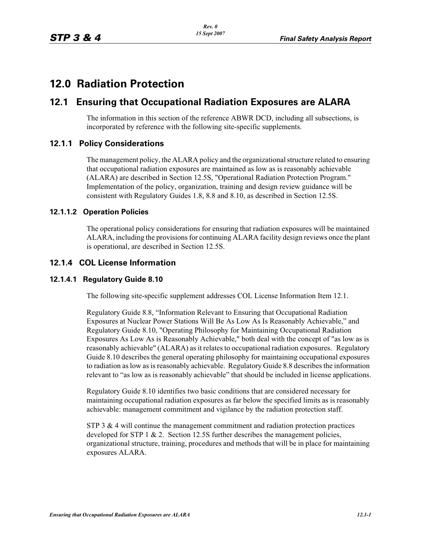# **12.0 Radiation Protection**

# **12.1 Ensuring that Occupational Radiation Exposures are ALARA**

The information in this section of the reference ABWR DCD, including all subsections, is incorporated by reference with the following site-specific supplements.

# **12.1.1 Policy Considerations**

The management policy, the ALARA policy and the organizational structure related to ensuring that occupational radiation exposures are maintained as low as is reasonably achievable (ALARA) are described in Section 12.5S, "Operational Radiation Protection Program." Implementation of the policy, organization, training and design review guidance will be consistent with Regulatory Guides 1.8, 8.8 and 8.10, as described in Section 12.5S.

### **12.1.1.2 Operation Policies**

The operational policy considerations for ensuring that radiation exposures will be maintained ALARA, including the provisions for continuing ALARA facility design reviews once the plant is operational, are described in Section 12.5S.

# **12.1.4 COL License Information**

### **12.1.4.1 Regulatory Guide 8.10**

The following site-specific supplement addresses COL License Information Item 12.1.

Regulatory Guide 8.8, "Information Relevant to Ensuring that Occupational Radiation Exposures at Nuclear Power Stations Will Be As Low As Is Reasonably Achievable," and Regulatory Guide 8.10, "Operating Philosophy for Maintaining Occupational Radiation Exposures As Low As is Reasonably Achievable," both deal with the concept of "as low as is reasonably achievable" (ALARA) as it relates to occupational radiation exposures. Regulatory Guide 8.10 describes the general operating philosophy for maintaining occupational exposures to radiation as low as is reasonably achievable. Regulatory Guide 8.8 describes the information relevant to "as low as is reasonably achievable" that should be included in license applications.

Regulatory Guide 8.10 identifies two basic conditions that are considered necessary for maintaining occupational radiation exposures as far below the specified limits as is reasonably achievable: management commitment and vigilance by the radiation protection staff.

 $STP_3 \& 4$  will continue the management commitment and radiation protection practices developed for STP 1  $\&$  2. Section 12.5S further describes the management policies, organizational structure, training, procedures and methods that will be in place for maintaining exposures ALARA.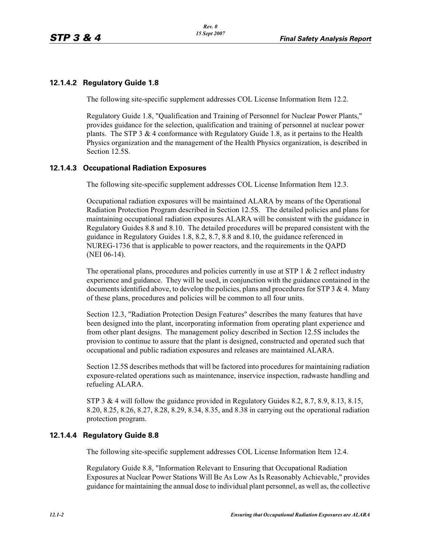# **12.1.4.2 Regulatory Guide 1.8**

The following site-specific supplement addresses COL License Information Item 12.2.

Regulatory Guide 1.8, "Qualification and Training of Personnel for Nuclear Power Plants," provides guidance for the selection, qualification and training of personnel at nuclear power plants. The STP 3  $\&$  4 conformance with Regulatory Guide 1.8, as it pertains to the Health Physics organization and the management of the Health Physics organization, is described in Section 12.5S.

### **12.1.4.3 Occupational Radiation Exposures**

The following site-specific supplement addresses COL License Information Item 12.3.

Occupational radiation exposures will be maintained ALARA by means of the Operational Radiation Protection Program described in Section 12.5S. The detailed policies and plans for maintaining occupational radiation exposures ALARA will be consistent with the guidance in Regulatory Guides 8.8 and 8.10. The detailed procedures will be prepared consistent with the guidance in Regulatory Guides 1.8, 8.2, 8.7, 8.8 and 8.10, the guidance referenced in NUREG-1736 that is applicable to power reactors, and the requirements in the QAPD (NEI 06-14).

The operational plans, procedures and policies currently in use at STP 1  $\&$  2 reflect industry experience and guidance. They will be used, in conjunction with the guidance contained in the documents identified above, to develop the policies, plans and procedures for STP 3  $\&$  4. Many of these plans, procedures and policies will be common to all four units.

Section 12.3, "Radiation Protection Design Features" describes the many features that have been designed into the plant, incorporating information from operating plant experience and from other plant designs. The management policy described in Section 12.5S includes the provision to continue to assure that the plant is designed, constructed and operated such that occupational and public radiation exposures and releases are maintained ALARA.

Section 12.5S describes methods that will be factored into procedures for maintaining radiation exposure-related operations such as maintenance, inservice inspection, radwaste handling and refueling ALARA.

STP 3 & 4 will follow the guidance provided in Regulatory Guides 8.2, 8.7, 8.9, 8.13, 8.15, 8.20, 8.25, 8.26, 8.27, 8.28, 8.29, 8.34, 8.35, and 8.38 in carrying out the operational radiation protection program.

### **12.1.4.4 Regulatory Guide 8.8**

The following site-specific supplement addresses COL License Information Item 12.4.

Regulatory Guide 8.8, "Information Relevant to Ensuring that Occupational Radiation Exposures at Nuclear Power Stations Will Be As Low As Is Reasonably Achievable," provides guidance for maintaining the annual dose to individual plant personnel, as well as, the collective